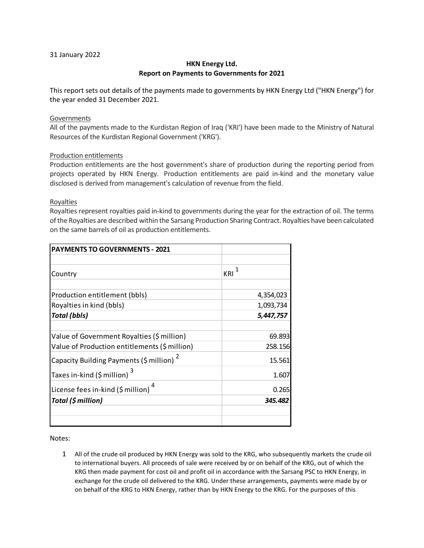## 31 January 2022

# **HKN Energy Ltd. Report on Payments to Governments for 2021**

This report sets out details of the payments made to governments by HKN Energy Ltd ("HKN Energy") for the year ended 31 December 2021.

## Governments

All of the payments made to the Kurdistan Region of Iraq ('KRI') have been made to the Ministry of Natural Resources of the Kurdistan Regional Government ('KRG').

## Production entitlements

Production entitlements are the host government's share of production during the reporting period from projects operated by HKN Energy. Production entitlements are paid in-kind and the monetary value disclosed is derived from management's calculation of revenue from the field.

### **Royalties**

Royalties represent royalties paid in-kind to governments during the year for the extraction of oil. The terms of the Royalties are described within the Sarsang Production Sharing Contract. Royalties have been calculated on the same barrels of oil as production entitlements.

| <b>PAYMENTS TO GOVERNMENTS - 2021</b>                |             |
|------------------------------------------------------|-------------|
|                                                      |             |
| Country                                              | $K$ RI $^1$ |
|                                                      |             |
| Production entitlement (bbls)                        | 4,354,023   |
| Royalties in kind (bbls)                             | 1,093,734   |
| <b>Total (bbls)</b>                                  | 5,447,757   |
|                                                      |             |
| Value of Government Royalties (\$ million)           | 69.893      |
| Value of Production entitlements (\$ million)        | 258.156     |
| Capacity Building Payments (\$ million) <sup>2</sup> | 15.561      |
| Taxes in-kind (\$ million) <sup>3</sup>              | 1.607       |
| License fees in-kind (\$ million)                    | 0.265       |
| Total (\$ million)                                   | 345.482     |
|                                                      |             |
|                                                      |             |

Notes:

1 All of the crude oil produced by HKN Energy was sold to the KRG, who subsequently markets the crude oil to international buyers. All proceeds of sale were received by or on behalf of the KRG, out of which the KRG then made payment for cost oil and profit oil in accordance with the Sarsang PSC to HKN Energy, in exchange for the crude oil delivered to the KRG. Under these arrangements, payments were made by or on behalf of the KRG to HKN Energy, rather than by HKN Energy to the KRG. For the purposes of this